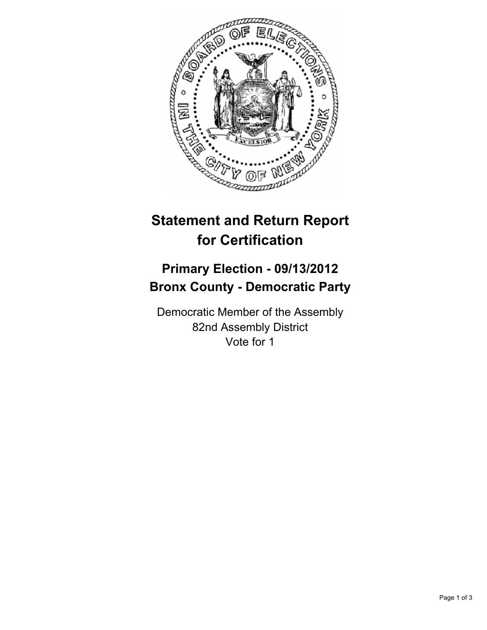

## **Statement and Return Report for Certification**

## **Primary Election - 09/13/2012 Bronx County - Democratic Party**

Democratic Member of the Assembly 82nd Assembly District Vote for 1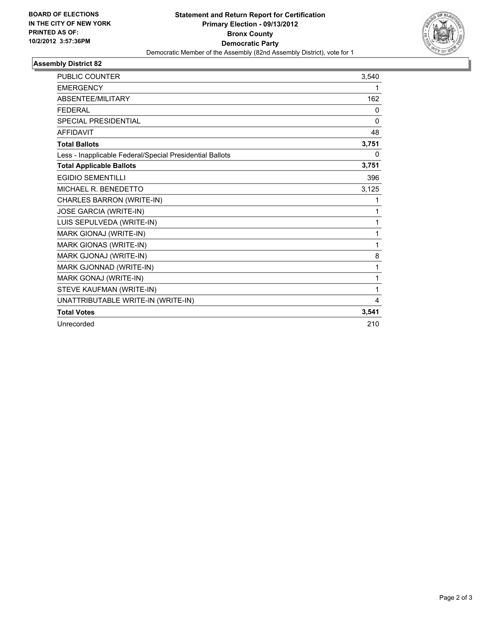

## **Assembly District 82**

| <b>PUBLIC COUNTER</b>                                    | 3,540        |
|----------------------------------------------------------|--------------|
| <b>EMERGENCY</b>                                         | 1            |
| ABSENTEE/MILITARY                                        | 162          |
| <b>FEDERAL</b>                                           | 0            |
| <b>SPECIAL PRESIDENTIAL</b>                              | $\mathbf{0}$ |
| <b>AFFIDAVIT</b>                                         | 48           |
| <b>Total Ballots</b>                                     | 3,751        |
| Less - Inapplicable Federal/Special Presidential Ballots | 0            |
| <b>Total Applicable Ballots</b>                          | 3,751        |
| <b>EGIDIO SEMENTILLI</b>                                 | 396          |
| MICHAEL R. BENEDETTO                                     | 3,125        |
| CHARLES BARRON (WRITE-IN)                                | 1            |
| JOSE GARCIA (WRITE-IN)                                   | 1            |
| LUIS SEPULVEDA (WRITE-IN)                                | 1            |
| MARK GIONAJ (WRITE-IN)                                   | 1            |
| MARK GIONAS (WRITE-IN)                                   | 1            |
| MARK GJONAJ (WRITE-IN)                                   | 8            |
| MARK GJONNAD (WRITE-IN)                                  | 1            |
| MARK GONAJ (WRITE-IN)                                    | 1            |
| STEVE KAUFMAN (WRITE-IN)                                 | 1            |
| UNATTRIBUTABLE WRITE-IN (WRITE-IN)                       | 4            |
| <b>Total Votes</b>                                       | 3,541        |
| Unrecorded                                               | 210          |